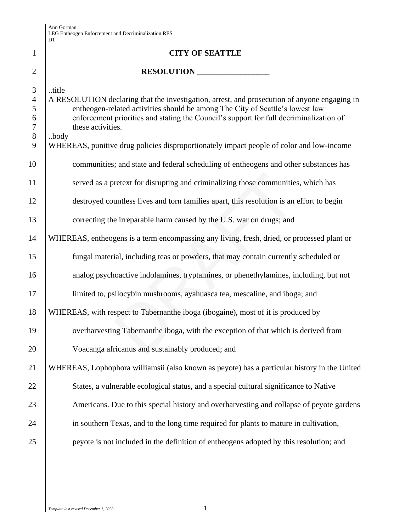|                                                   | υı                                                                                                                                                                                                                                                                                                    |
|---------------------------------------------------|-------------------------------------------------------------------------------------------------------------------------------------------------------------------------------------------------------------------------------------------------------------------------------------------------------|
| $\mathbf{1}$                                      | <b>CITY OF SEATTLE</b>                                                                                                                                                                                                                                                                                |
| $\overline{2}$                                    | RESOLUTION                                                                                                                                                                                                                                                                                            |
| 3<br>$\overline{4}$<br>5<br>6<br>$\boldsymbol{7}$ | title<br>A RESOLUTION declaring that the investigation, arrest, and prosecution of anyone engaging in<br>entheogen-related activities should be among The City of Seattle's lowest law<br>enforcement priorities and stating the Council's support for full decriminalization of<br>these activities. |
| $8\,$<br>9                                        | body<br>WHEREAS, punitive drug policies disproportionately impact people of color and low-income                                                                                                                                                                                                      |
| 10                                                | communities; and state and federal scheduling of entheogens and other substances has                                                                                                                                                                                                                  |
| 11                                                | served as a pretext for disrupting and criminalizing those communities, which has                                                                                                                                                                                                                     |
| 12                                                | destroyed countless lives and torn families apart, this resolution is an effort to begin                                                                                                                                                                                                              |
| 13                                                | correcting the irreparable harm caused by the U.S. war on drugs; and                                                                                                                                                                                                                                  |
| 14                                                | WHEREAS, entheogens is a term encompassing any living, fresh, dried, or processed plant or                                                                                                                                                                                                            |
| 15                                                | fungal material, including teas or powders, that may contain currently scheduled or                                                                                                                                                                                                                   |
| 16                                                | analog psychoactive indolamines, tryptamines, or phenethylamines, including, but not                                                                                                                                                                                                                  |
| 17                                                | limited to, psilocybin mushrooms, ayahuasca tea, mescaline, and iboga; and                                                                                                                                                                                                                            |
| 18                                                | WHEREAS, with respect to Tabernanthe iboga (ibogaine), most of it is produced by                                                                                                                                                                                                                      |
| 19                                                | overharvesting Tabernanthe iboga, with the exception of that which is derived from                                                                                                                                                                                                                    |
| 20                                                | Voacanga africanus and sustainably produced; and                                                                                                                                                                                                                                                      |
| 21                                                | WHEREAS, Lophophora williamsii (also known as peyote) has a particular history in the United                                                                                                                                                                                                          |
| 22                                                | States, a vulnerable ecological status, and a special cultural significance to Native                                                                                                                                                                                                                 |
| 23                                                | Americans. Due to this special history and overharvesting and collapse of peyote gardens                                                                                                                                                                                                              |
| 24                                                | in southern Texas, and to the long time required for plants to mature in cultivation,                                                                                                                                                                                                                 |
| 25                                                | peyote is not included in the definition of entheogens adopted by this resolution; and                                                                                                                                                                                                                |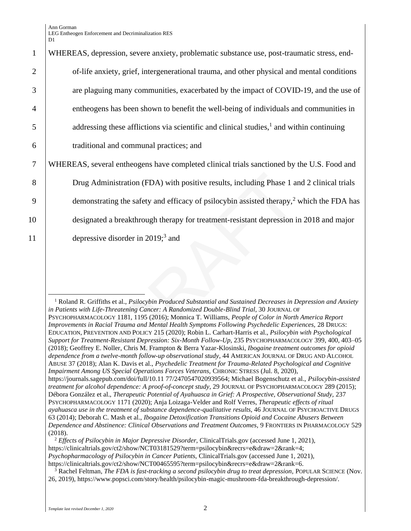Ann Gorman LEG Entheogen Enforcement and Decriminalization RES D<sub>1</sub>

## istration (FDA) with positive results, including Phase 1 a<br>g the safety and efficacy of psilocybin assisted therapy,<sup>2</sup><br>breakthrough therapy for treatment-resistant depression i<br>sorder in 2019;<sup>3</sup> and<br>atening Cancer: A Ran 1 WHEREAS, depression, severe anxiety, problematic substance use, post-traumatic stress, end-2 of-life anxiety, grief, intergenerational trauma, and other physical and mental conditions 3 are plaguing many communities, exacerbated by the impact of COVID-19, and the use of 4 entheogens has been shown to benefit the well-being of individuals and communities in  $\frac{1}{5}$  addressing these afflictions via scientific and clinical studies,<sup>1</sup> and within continuing 6 traditional and communal practices; and 7 WHEREAS, several entheogens have completed clinical trials sanctioned by the U.S. Food and 8 Drug Administration (FDA) with positive results, including Phase 1 and 2 clinical trials 9 demonstrating the safety and efficacy of psilocybin assisted therapy,<sup>2</sup> which the FDA has 10 designated a breakthrough therapy for treatment-resistant depression in 2018 and major 11 depressive disorder in 2019;<sup>3</sup> and

<sup>1</sup> Roland R. Griffiths et al., *Psilocybin Produced Substantial and Sustained Decreases in Depression and Anxiety* in Patients with Life-Threatening Cancer: A Randomized Double-Blind Trial, 30 JOURNAL OF PSYCHOPHARMACOLOGY 1181, 1195 (2016); Monnica T. Williams, *People of Color in North America Report Improvements in Racial Trauma and Mental Health Symptoms Following Psychedelic Experiences,* 28 DRUGS: EDUCATION, PREVENTION AND POLICY 215 (2020); Robin L. Carhart-Harris et al., *Psilocybin with Psychological Support for Treatment-Resistant Depression: Six-Month Follow-Up*, 235 PSYCHOPHARMACOLOGY 399, 400, 403–05 (2018); Geoffrey E. Noller, Chris M. Frampton & Berra Yazar-Klosinski, *Ibogaine treatment outcomes for opioid dependence from a twelve-month follow-up observational study*, 44 AMERICAN JOURNAL OF DRUG AND ALCOHOL ABUSE 37 (2018); Alan K. Davis et al., *Psychedelic Treatment for Trauma-Related Psychological and Cognitive Impairment Among US Special Operations Forces Veterans,* CHRONIC STRESS (Jul. 8, 2020), https://journals.sagepub.com/doi/full/10.11 77/2470547020939564; Michael Bogenschutz et al., *Psilocybin-assisted treatment for alcohol dependence: A proof-of-concept study*, 29 JOURNAL OF PSYCHOPHARMACOLOGY 289 (2015); Débora González et al., *Therapeutic Potential of Ayahuasca in Grief: A Prospective, Observational Study, 237* PSYCHOPHARMACOLOGY 1171 (2020); Anja Loizaga-Velder and Rolf Verres, *Therapeutic effects of ritual ayahuasca use in the treatment of substance dependence-qualitative results*, 46 JOURNAL OF PSYCHOACTIVE DRUGS 63 (2014); Deborah C. Mash et al., *Ibogaine Detoxification Transitions Opioid and Cocaine Abusers Between Dependence and Abstinence: Clinical Observations and Treatment Outcomes,* 9 FRONTIERS IN PHARMACOLOGY 529 (2018).

<sup>2</sup> *Effects of Psilocybin in Major Depressive Disorder,* ClinicalTrials.gov (accessed June 1, 2021), https://clinicaltrials.gov/ct2/show/NCT03181529?term=psilocybin&recrs=e&draw=2&rank=4; *Psychopharmacology of Psilocybin in Cancer Patients,* ClinicalTrials.gov (accessed June 1, 2021), https://clinicaltrials.gov/ct2/show/NCT00465595?term=psilocybin&recrs=e&draw=2&rank=6.

<sup>3</sup> Rachel Feltman, *The FDA is fast-tracking a second psilocybin drug to treat depression,* POPULAR SCIENCE (Nov. 26, 2019), https://www.popsci.com/story/health/psilocybin-magic-mushroom-fda-breakthrough-depression/.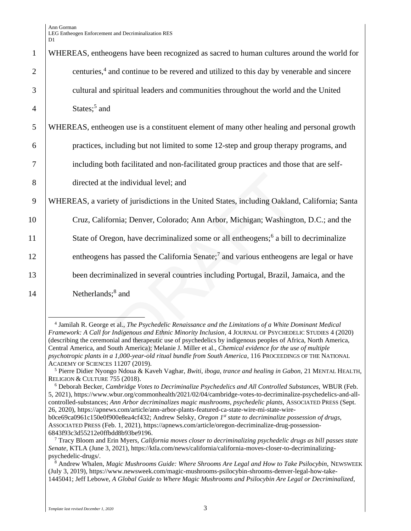## e individual level; and<br>y of jurisdictions in the United States, including Oaklanc<br>mia; Denver, Colorado; Ann Arbor, Michigan; Washington,<br>non, have decriminalized some or all entheogens;<sup>6</sup> a bill to<br>as passed the Califor 1 WHEREAS, entheogens have been recognized as sacred to human cultures around the world for 2 centuries,<sup>4</sup> and continue to be revered and utilized to this day by venerable and sincere 3 cultural and spiritual leaders and communities throughout the world and the United  $4 \quad$  States;<sup>5</sup> and 5 WHEREAS, entheogen use is a constituent element of many other healing and personal growth 6 practices, including but not limited to some 12-step and group therapy programs, and 7 including both facilitated and non-facilitated group practices and those that are self-8 directed at the individual level; and 9 WHEREAS, a variety of jurisdictions in the United States, including Oakland, California; Santa 10 Cruz, California; Denver, Colorado; Ann Arbor, Michigan; Washington, D.C.; and the 11 State of Oregon, have decriminalized some or all entheogens;<sup>6</sup> a bill to decriminalize 12 entheogens has passed the California Senate;<sup>7</sup> and various entheogens are legal or have

13 been decriminalized in several countries including Portugal, Brazil, Jamaica, and the

<sup>14</sup> Netherlands;<sup>8</sup> and

<sup>4</sup> Jamilah R. George et al., *The Psychedelic Renaissance and the Limitations of a White Dominant Medical Framework: A Call for Indigenous and Ethnic Minority Inclusion*, 4 JOURNAL OF PSYCHEDELIC STUDIES 4 (2020) (describing the ceremonial and therapeutic use of psychedelics by indigenous peoples of Africa, North America, Central America, and South America); Melanie J. Miller et al., *Chemical evidence for the use of multiple psychotropic plants in a 1,000-year-old ritual bundle from South America*, 116 PROCEEDINGS OF THE NATIONAL ACADEMY OF SCIENCES 11207 (2019).

<sup>5</sup> Pierre Didier Nyongo Ndoua & Kaveh Vaghar, *Bwiti, iboga, trance and healing in Gabon,* 21 MENTAL HEALTH, RELIGION & CULTURE 755 (2018).

<sup>6</sup> Deborah Becker, *Cambridge Votes to Decriminalize Psychedelics and All Controlled Substances,* WBUR (Feb. 5, 2021), https://www.wbur.org/commonhealth/2021/02/04/cambridge-votes-to-decriminalize-psychedelics-and-allcontrolled-substances; *Ann Arbor decriminalizes magic mushrooms, psychedelic plants,* ASSOCIATED PRESS (Sept. 26, 2020), https://apnews.com/article/ann-arbor-plants-featured-ca-state-wire-mi-state-wire-

b0ce69ca0961c150e0f900e8ea4cf432; Andrew Selsky, *Oregon 1st state to decriminalize possession of drugs,*  ASSOCIATED PRESS (Feb. 1, 2021), https://apnews.com/article/oregon-decriminalize-drug-possession-6843f93c3d55212e0ffbdd8b93be9196.

<sup>7</sup> Tracy Bloom and Erin Myers, *California moves closer to decriminalizing psychedelic drugs as bill passes state Senate,* KTLA (June 3, 2021), https://ktla.com/news/california/california-moves-closer-to-decriminalizingpsychedelic-drugs/.

<sup>&</sup>lt;sup>8</sup> Andrew Whalen, *Magic Mushrooms Guide: Where Shrooms Are Legal and How to Take Psilocybin, NEWSWEEK* (July 3, 2019), https://www.newsweek.com/magic-mushrooms-psilocybin-shrooms-denver-legal-how-take-1445041; Jeff Lebowe, *A Global Guide to Where Magic Mushrooms and Psilocybin Are Legal or Decriminalized,*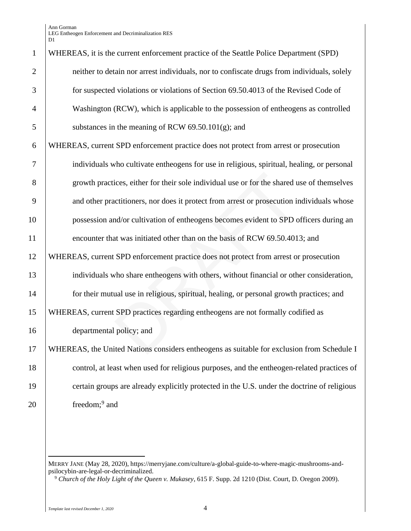Ann Gorman LEG Entheogen Enforcement and Decriminalization RES D1

| $\mathbf{1}$   | WHEREAS, it is the current enforcement practice of the Seattle Police Department (SPD)      |
|----------------|---------------------------------------------------------------------------------------------|
| $\overline{2}$ | neither to detain nor arrest individuals, nor to confiscate drugs from individuals, solely  |
| 3              | for suspected violations or violations of Section 69.50.4013 of the Revised Code of         |
| $\overline{4}$ | Washington (RCW), which is applicable to the possession of entheogens as controlled         |
| 5              | substances in the meaning of RCW $69.50.101(g)$ ; and                                       |
| 6              | WHEREAS, current SPD enforcement practice does not protect from arrest or prosecution       |
| 7              | individuals who cultivate entheogens for use in religious, spiritual, healing, or personal  |
| 8              | growth practices, either for their sole individual use or for the shared use of themselves  |
| 9              | and other practitioners, nor does it protect from arrest or prosecution individuals whose   |
| 10             | possession and/or cultivation of entheogens becomes evident to SPD officers during an       |
| 11             | encounter that was initiated other than on the basis of RCW 69.50.4013; and                 |
| 12             | WHEREAS, current SPD enforcement practice does not protect from arrest or prosecution       |
| 13             | individuals who share entheogens with others, without financial or other consideration,     |
| 14             | for their mutual use in religious, spiritual, healing, or personal growth practices; and    |
| 15             | WHEREAS, current SPD practices regarding entheogens are not formally codified as            |
| 16             | departmental policy; and                                                                    |
| 17             | WHEREAS, the United Nations considers entheogens as suitable for exclusion from Schedule I  |
| 18             | control, at least when used for religious purposes, and the entheogen-related practices of  |
| 19             | certain groups are already explicitly protected in the U.S. under the doctrine of religious |
| 20             | freedom; <sup>9</sup> and                                                                   |
|                |                                                                                             |

MERRY JANE (May 28, 2020), https://merryjane.com/culture/a-global-guide-to-where-magic-mushrooms-andpsilocybin-are-legal-or-decriminalized.

*Church of the Holy Light of the Queen v. Mukasey*, 615 F. Supp. 2d 1210 (Dist. Court, D. Oregon 2009).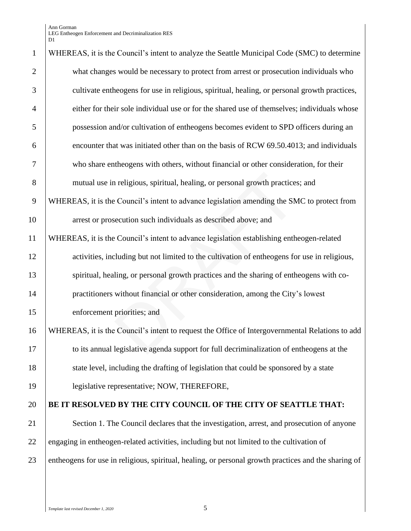Ann Gorman LEG Entheogen Enforcement and Decriminalization RES  $\mathbf{D}1$ 

| $\mathbf{1}$   | WHEREAS, it is the Council's intent to analyze the Seattle Municipal Code (SMC) to determine         |
|----------------|------------------------------------------------------------------------------------------------------|
| $\overline{2}$ | what changes would be necessary to protect from arrest or prosecution individuals who                |
| 3              | cultivate entheogens for use in religious, spiritual, healing, or personal growth practices,         |
| $\overline{4}$ | either for their sole individual use or for the shared use of themselves; individuals whose          |
| 5              | possession and/or cultivation of entheogens becomes evident to SPD officers during an                |
| 6              | encounter that was initiated other than on the basis of RCW 69.50.4013; and individuals              |
| $\tau$         | who share entheogens with others, without financial or other consideration, for their                |
| 8              | mutual use in religious, spiritual, healing, or personal growth practices; and                       |
| 9              | WHEREAS, it is the Council's intent to advance legislation amending the SMC to protect from          |
| 10             | arrest or prosecution such individuals as described above; and                                       |
| 11             | WHEREAS, it is the Council's intent to advance legislation establishing entheogen-related            |
| 12             | activities, including but not limited to the cultivation of entheogens for use in religious,         |
| 13             | spiritual, healing, or personal growth practices and the sharing of entheogens with co-              |
| 14             | practitioners without financial or other consideration, among the City's lowest                      |
| 15             | enforcement priorities; and                                                                          |
| 16             | WHEREAS, it is the Council's intent to request the Office of Intergovernmental Relations to add      |
| 17             | to its annual legislative agenda support for full decriminalization of entheogens at the             |
| 18             | state level, including the drafting of legislation that could be sponsored by a state                |
| 19             | legislative representative; NOW, THEREFORE,                                                          |
| 20             | BE IT RESOLVED BY THE CITY COUNCIL OF THE CITY OF SEATTLE THAT:                                      |
| 21             | Section 1. The Council declares that the investigation, arrest, and prosecution of anyone            |
| 22             | engaging in entheogen-related activities, including but not limited to the cultivation of            |
| 23             | entheogens for use in religious, spiritual, healing, or personal growth practices and the sharing of |
|                |                                                                                                      |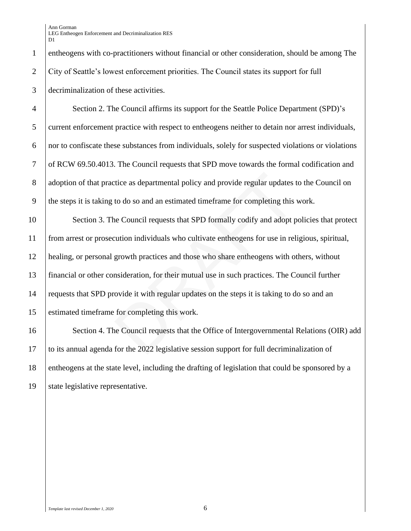1 entheogens with co-practitioners without financial or other consideration, should be among The 2 City of Seattle's lowest enforcement priorities. The Council states its support for full 3 decriminalization of these activities.

 Section 2. The Council affirms its support for the Seattle Police Department (SPD)'s 5 current enforcement practice with respect to entheogens neither to detain nor arrest individuals, nor to confiscate these substances from individuals, solely for suspected violations or violations of RCW 69.50.4013. The Council requests that SPD move towards the formal codification and 8 adoption of that practice as departmental policy and provide regular updates to the Council on the steps it is taking to do so and an estimated timeframe for completing this work.

tice as departmental policy and provide regular updates t<br>to do so and an estimated timeframe for completing this<br>ne Council requests that SPD formally codify and adopt p<br>eution individuals who cultivate entheogens for use Section 3. The Council requests that SPD formally codify and adopt policies that protect from arrest or prosecution individuals who cultivate entheogens for use in religious, spiritual, healing, or personal growth practices and those who share entheogens with others, without financial or other consideration, for their mutual use in such practices. The Council further 14 requests that SPD provide it with regular updates on the steps it is taking to do so and an estimated timeframe for completing this work.

16 Section 4. The Council requests that the Office of Intergovernmental Relations (OIR) add 17 to its annual agenda for the 2022 legislative session support for full decriminalization of 18 entheogens at the state level, including the drafting of legislation that could be sponsored by a 19 State legislative representative.